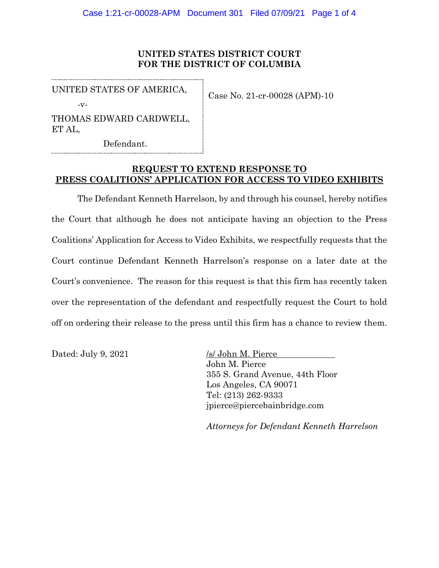## **UNITED STATES DISTRICT COURT FOR THE DISTRICT OF COLUMBIA**

UNITED STATES OF AMERICA,

-v-

Case No. 21-cr-00028 (APM)-10

THOMAS EDWARD CARDWELL, ET AL,

Defendant.

## **REQUEST TO EXTEND RESPONSE TO PRESS COALITIONS' APPLICATION FOR ACCESS TO VIDEO EXHIBITS**

The Defendant Kenneth Harrelson, by and through his counsel, hereby notifies the Court that although he does not anticipate having an objection to the Press Coalitions' Application for Access to Video Exhibits, we respectfully requests that the Court continue Defendant Kenneth Harrelson's response on a later date at the Court's convenience. The reason for this request is that this firm has recently taken over the representation of the defendant and respectfully request the Court to hold off on ordering their release to the press until this firm has a chance to review them.

Dated: July 9, 2021 /s/ John M. Pierce

John M. Pierce 355 S. Grand Avenue, 44th Floor Los Angeles, CA 90071 Tel: (213) 262-9333 jpierce@piercebainbridge.com

*Attorneys for Defendant Kenneth Harrelson*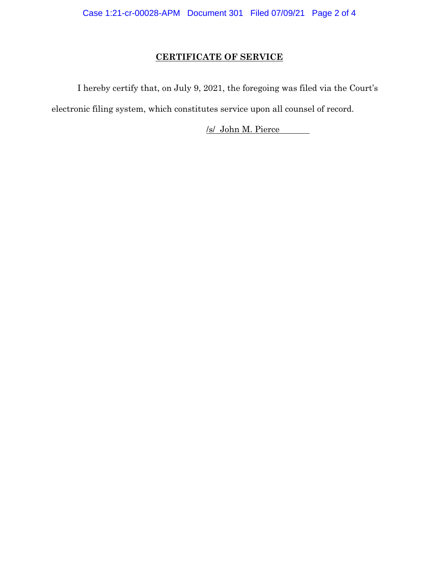## **CERTIFICATE OF SERVICE**

I hereby certify that, on July 9, 2021, the foregoing was filed via the Court's electronic filing system, which constitutes service upon all counsel of record.

/s/ John M. Pierce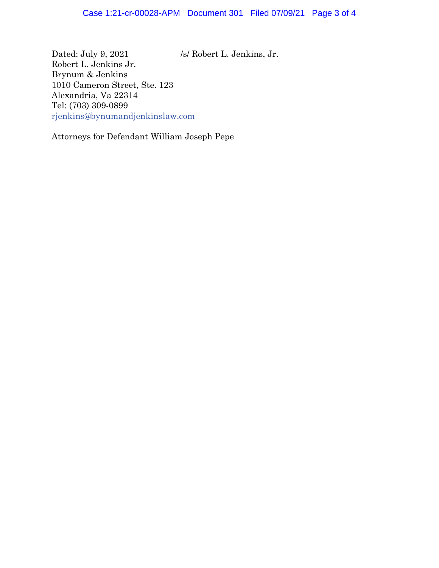Dated: July 9, 2021 /s/ Robert L. Jenkins, Jr. Robert L. Jenkins Jr. Brynum & Jenkins 1010 Cameron Street, Ste. 123 Alexandria, Va 22314 Tel: (703) 309-0899 rjenkins@bynumandjenkinslaw.com

Attorneys for Defendant William Joseph Pepe